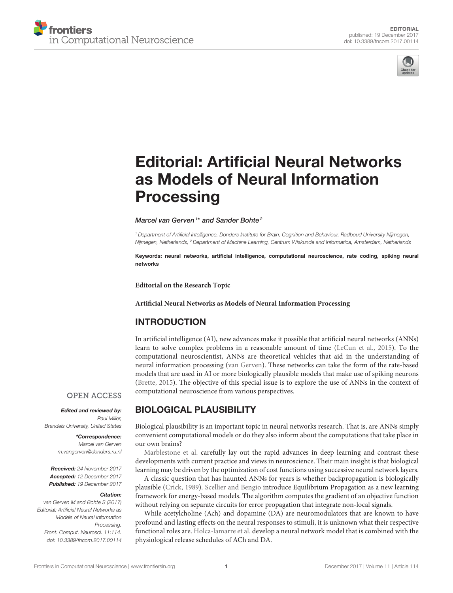



# [Editorial: Artificial Neural Networks](https://www.frontiersin.org/articles/10.3389/fncom.2017.00114/full) as Models of Neural Information **Processing**

#### [Marcel van Gerven](http://loop.frontiersin.org/people/28677/overview)<sup>1\*</sup> and [Sander Bohte](http://loop.frontiersin.org/people/21438/overview)<sup>2</sup>

*<sup>1</sup> Department of Artificial Intelligence, Donders Institute for Brain, Cognition and Behaviour, Radboud University Nijmegen, Nijmegen, Netherlands, <sup>2</sup> Department of Machine Learning, Centrum Wiskunde and Informatica, Amsterdam, Netherlands*

Keywords: neural networks, artificial intelligence, computational neuroscience, rate coding, spiking neural networks

**Editorial on the Research Topic**

**[Artificial Neural Networks as Models of Neural Information Processing](https://www.frontiersin.org/research-topics/4817/artificial-neural-networks-as-models-of-neural-information-processing)**

#### INTRODUCTION

In artificial intelligence (AI), new advances make it possible that artificial neural networks (ANNs) learn to solve complex problems in a reasonable amount of time [\(LeCun et al., 2015\)](#page-1-0). To the computational neuroscientist, ANNs are theoretical vehicles that aid in the understanding of neural information processing [\(van Gerven\)](https://doi.org/10.3389/fncom.2017.00112). These networks can take the form of the rate-based models that are used in AI or more biologically plausible models that make use of spiking neurons [\(Brette, 2015\)](#page-1-1). The objective of this special issue is to explore the use of ANNs in the context of computational neuroscience from various perspectives.

#### **OPEN ACCESS**

Edited and reviewed by: *Paul Miller, Brandeis University, United States*

> \*Correspondence: *Marcel van Gerven [m.vangerven@donders.ru.nl](mailto:m.vangerven@donders.ru.nl)*

Received: *24 November 2017* Accepted: *12 December 2017* Published: *19 December 2017*

#### Citation:

*van Gerven M and Bohte S (2017) Editorial: Artificial Neural Networks as Models of Neural Information Processing. Front. Comput. Neurosci. 11:114. doi: [10.3389/fncom.2017.00114](https://doi.org/10.3389/fncom.2017.00114)*

# BIOLOGICAL PLAUSIBILITY

Biological plausibility is an important topic in neural networks research. That is, are ANNs simply convenient computational models or do they also inform about the computations that take place in our own brains?

[Marblestone et al.](https://doi.org/10.3389/fncom.2016.00094) carefully lay out the rapid advances in deep learning and contrast these developments with current practice and views in neuroscience. Their main insight is that biological learning may be driven by the optimization of cost functions using successive neural network layers.

A classic question that has haunted ANNs for years is whether backpropagation is biologically plausible [\(Crick, 1989\)](#page-1-2). [Scellier and Bengio](https://doi.org/10.3389/fncom.2017.00024) introduce Equilibrium Propagation as a new learning framework for energy-based models. The algorithm computes the gradient of an objective function without relying on separate circuits for error propagation that integrate non-local signals.

While acetylcholine (Ach) and dopamine (DA) are neuromodulators that are known to have profound and lasting effects on the neural responses to stimuli, it is unknown what their respective functional roles are. [Holca-lamarre et al.](https://doi.org/10.3389/fncom.2017.00054) develop a neural network model that is combined with the physiological release schedules of ACh and DA.